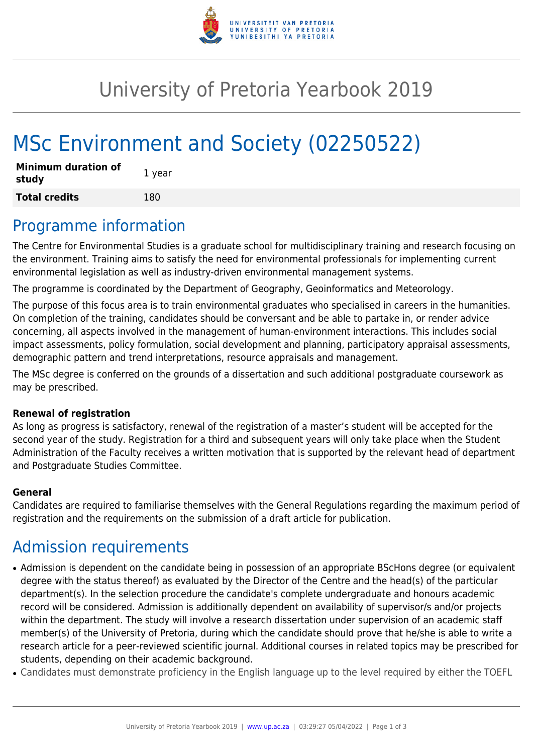

## University of Pretoria Yearbook 2019

# MSc Environment and Society (02250522)

| <b>Minimum duration of</b><br>study | 1 year |
|-------------------------------------|--------|
| <b>Total credits</b>                | 180    |

### Programme information

The Centre for Environmental Studies is a graduate school for multidisciplinary training and research focusing on the environment. Training aims to satisfy the need for environmental professionals for implementing current environmental legislation as well as industry-driven environmental management systems.

The programme is coordinated by the Department of Geography, Geoinformatics and Meteorology.

The purpose of this focus area is to train environmental graduates who specialised in careers in the humanities. On completion of the training, candidates should be conversant and be able to partake in, or render advice concerning, all aspects involved in the management of human-environment interactions. This includes social impact assessments, policy formulation, social development and planning, participatory appraisal assessments, demographic pattern and trend interpretations, resource appraisals and management.

The MSc degree is conferred on the grounds of a dissertation and such additional postgraduate coursework as may be prescribed.

#### **Renewal of registration**

As long as progress is satisfactory, renewal of the registration of a master's student will be accepted for the second year of the study. Registration for a third and subsequent years will only take place when the Student Administration of the Faculty receives a written motivation that is supported by the relevant head of department and Postgraduate Studies Committee.

#### **General**

Candidates are required to familiarise themselves with the General Regulations regarding the maximum period of registration and the requirements on the submission of a draft article for publication.

### Admission requirements

- Admission is dependent on the candidate being in possession of an appropriate BScHons degree (or equivalent degree with the status thereof) as evaluated by the Director of the Centre and the head(s) of the particular department(s). In the selection procedure the candidate's complete undergraduate and honours academic record will be considered. Admission is additionally dependent on availability of supervisor/s and/or projects within the department. The study will involve a research dissertation under supervision of an academic staff member(s) of the University of Pretoria, during which the candidate should prove that he/she is able to write a research article for a peer-reviewed scientific journal. Additional courses in related topics may be prescribed for students, depending on their academic background.
- Candidates must demonstrate proficiency in the English language up to the level required by either the TOEFL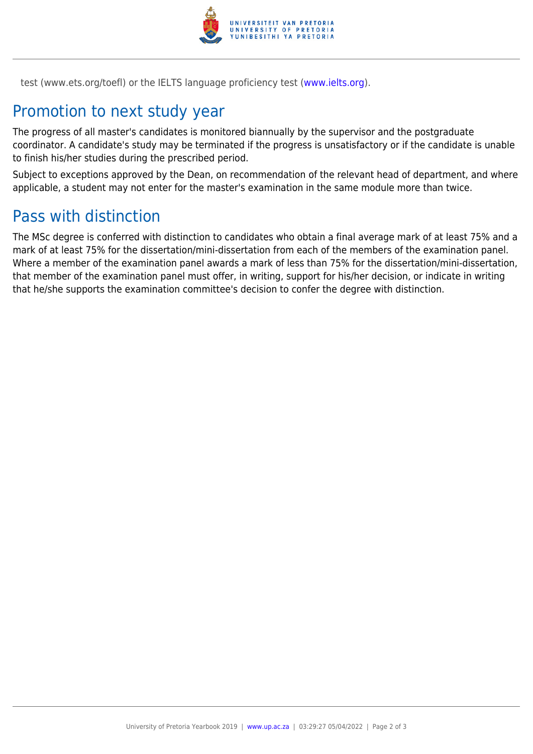

test (www.ets.org/toefl) or the IELTS language proficiency test ([www.ielts.org](http://www.ielts.org)).

### Promotion to next study year

The progress of all master's candidates is monitored biannually by the supervisor and the postgraduate coordinator. A candidate's study may be terminated if the progress is unsatisfactory or if the candidate is unable to finish his/her studies during the prescribed period.

Subject to exceptions approved by the Dean, on recommendation of the relevant head of department, and where applicable, a student may not enter for the master's examination in the same module more than twice.

#### Pass with distinction

The MSc degree is conferred with distinction to candidates who obtain a final average mark of at least 75% and a mark of at least 75% for the dissertation/mini-dissertation from each of the members of the examination panel. Where a member of the examination panel awards a mark of less than 75% for the dissertation/mini-dissertation, that member of the examination panel must offer, in writing, support for his/her decision, or indicate in writing that he/she supports the examination committee's decision to confer the degree with distinction.